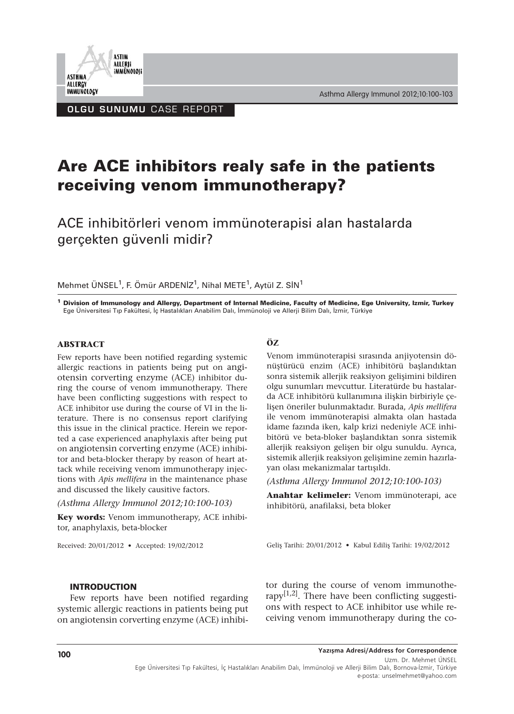

OLGU SUNUMU CASE REPORT

**ASTIM ALLERII** iMMÜNOLOJi

**ASTHMA** ALLERGY **IMMUNOLOGY** 

# **Are ACE inhibitors realy safe in the patients receiving venom immunotherapy?**

ACE inhibitörleri venom immünoterapisi alan hastalarda gerçekten güvenli midir?

Mehmet ÜNSEL<sup>1</sup>, F. Ömür ARDENİZ<sup>1</sup>, Nihal METE<sup>1</sup>, Aytül Z. SİN<sup>1</sup>

**<sup>1</sup> Division of Immunology and Allergy, Department of Internal Medicine, Faculty of Medicine, Ege University, Izmir, Turkey** Ege Üniversitesi Tıp Fakültesi, İç Hastalıkları Anabilim Dalı, İmmünoloji ve Allerji Bilim Dalı, İzmir, Türkiye

#### **ABSTRACT**

Few reports have been notified regarding systemic allergic reactions in patients being put on angiotensin corverting enzyme (ACE) inhibitor during the course of venom immunotherapy. There have been conflicting suggestions with respect to ACE inhibitor use during the course of VI in the literature. There is no consensus report clarifying this issue in the clinical practice. Herein we reported a case experienced anaphylaxis after being put on angiotensin corverting enzyme (ACE) inhibitor and beta-blocker therapy by reason of heart attack while receiving venom immunotherapy injections with *Apis mellifera* in the maintenance phase and discussed the likely causitive factors.

*(Asthma Allergy Immunol 2012;10:100-103)*

**Key words:** Venom immunotherapy, ACE inhibitor, anaphylaxis, beta-blocker

Received: 20/01/2012 • Accepted: 19/02/2012

#### **ÖZ**

Venom immünoterapisi sırasında anjiyotensin dönüştürücü enzim (ACE) inhibitörü başlandıktan sonra sistemik allerjik reaksiyon gelişimini bildiren olgu sunumları mevcuttur. Literatürde bu hastalarda ACE inhibitörü kullanımına ilişkin birbiriyle çelişen öneriler bulunmaktadır. Burada, *Apis mellifera* ile venom immünoterapisi almakta olan hastada idame fazında iken, kalp krizi nedeniyle ACE inhibitörü ve beta-bloker başlandıktan sonra sistemik allerjik reaksiyon gelişen bir olgu sunuldu. Ayrıca, sistemik allerjik reaksiyon gelişimine zemin hazırlayan olası mekanizmalar tartışıldı.

*(Asthma Allergy Immunol 2012;10:100-103)*

**Anahtar kelimeler:** Venom immünoterapi, ace inhibitörü, anafilaksi, beta bloker

Geliş Tarihi: 20/01/2012 • Kabul Ediliş Tarihi: 19/02/2012

### INTRODUCTION

Few reports have been notified regarding systemic allergic reactions in patients being put on angiotensin corverting enzyme (ACE) inhibitor during the course of venom immunotherapy $[1,2]$ . There have been conflicting suggestions with respect to ACE inhibitor use while receiving venom immunotherapy during the co-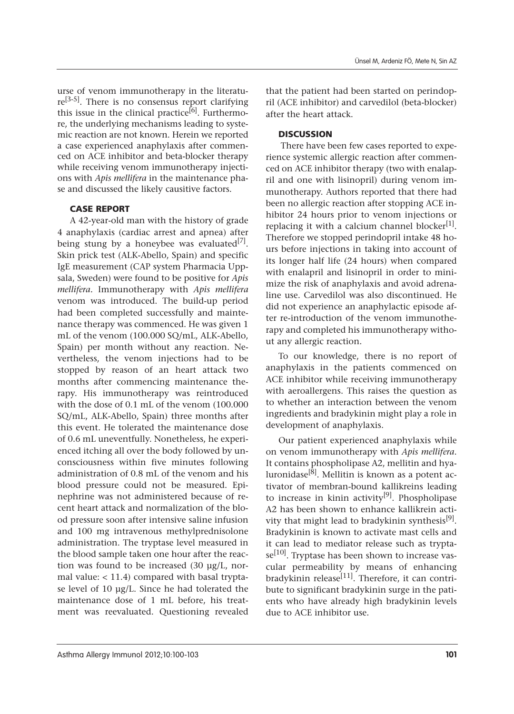urse of venom immunotherapy in the literatu $re^{[3-5]}$ . There is no consensus report clarifying this issue in the clinical practice<sup>[6]</sup>. Furthermore, the underlying mechanisms leading to systemic reaction are not known. Herein we reported a case experienced anaphylaxis after commenced on ACE inhibitor and beta-blocker therapy while receiving venom immunotherapy injections with *Apis mellifera* in the maintenance phase and discussed the likely causitive factors.

### CASE REPORT

A 42-year-old man with the history of grade 4 anaphylaxis (cardiac arrest and apnea) after being stung by a honeybee was evaluated<sup>[7]</sup>. Skin prick test (ALK-Abello, Spain) and specific IgE measurement (CAP system Pharmacia Uppsala, Sweden) were found to be positive for *Apis mellifera.* Immunotherapy with *Apis mellifera* venom was introduced. The build-up period had been completed successfully and maintenance therapy was commenced. He was given 1 mL of the venom (100.000 SQ/mL, ALK-Abello, Spain) per month without any reaction. Nevertheless, the venom injections had to be stopped by reason of an heart attack two months after commencing maintenance therapy. His immunotherapy was reintroduced with the dose of 0.1 mL of the venom (100.000 SQ/mL, ALK-Abello, Spain) three months after this event. He tolerated the maintenance dose of 0.6 mL uneventfully. Nonetheless, he experienced itching all over the body followed by unconsciousness within five minutes following administration of 0.8 mL of the venom and his blood pressure could not be measured. Epinephrine was not administered because of recent heart attack and normalization of the blood pressure soon after intensive saline infusion and 100 mg intravenous methylprednisolone administration. The tryptase level measured in the blood sample taken one hour after the reaction was found to be increased (30 µg/L, normal value: < 11.4) compared with basal tryptase level of 10 µg/L. Since he had tolerated the maintenance dose of 1 mL before, his treatment was reevaluated. Questioning revealed

that the patient had been started on perindopril (ACE inhibitor) and carvedilol (beta-blocker) after the heart attack.

## **DISCUSSION**

There have been few cases reported to experience systemic allergic reaction after commenced on ACE inhibitor therapy (two with enalapril and one with lisinopril) during venom immunotherapy. Authors reported that there had been no allergic reaction after stopping ACE inhibitor 24 hours prior to venom injections or replacing it with a calcium channel blocker<sup>[1]</sup>. Therefore we stopped perindopril intake 48 hours before injections in taking into account of its longer half life (24 hours) when compared with enalapril and lisinopril in order to minimize the risk of anaphylaxis and avoid adrenaline use. Carvedilol was also discontinued. He did not experience an anaphylactic episode after re-introduction of the venom immunotherapy and completed his immunotherapy without any allergic reaction.

To our knowledge, there is no report of anaphylaxis in the patients commenced on ACE inhibitor while receiving immunotherapy with aeroallergens. This raises the question as to whether an interaction between the venom ingredients and bradykinin might play a role in development of anaphylaxis.

Our patient experienced anaphylaxis while on venom immunotherapy with *Apis mellifera*. It contains phospholipase A2, mellitin and hyaluronidase<sup>[8]</sup>. Mellitin is known as a potent activator of membran-bound kallikreins leading to increase in kinin activity<sup>[9]</sup>. Phospholipase A2 has been shown to enhance kallikrein activity that might lead to bradykinin synthesis<sup>[9]</sup>. Bradykinin is known to activate mast cells and it can lead to mediator release such as trypta $se^{[10]}$ . Tryptase has been shown to increase vascular permeability by means of enhancing bradykinin release<sup>[11]</sup>. Therefore, it can contribute to significant bradykinin surge in the patients who have already high bradykinin levels due to ACE inhibitor use.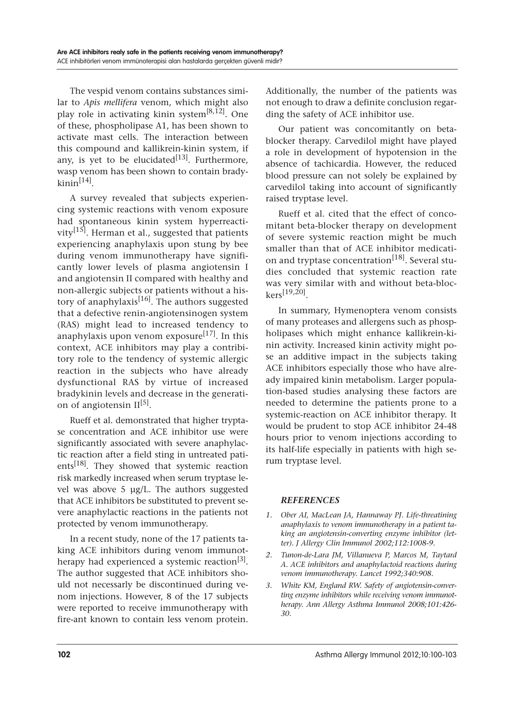The vespid venom contains substances similar to *Apis mellifera* venom, which might also play role in activating kinin system<sup>[8,12]</sup>. One of these, phospholipase A1, has been shown to activate mast cells. The interaction between this compound and kallikrein-kinin system, if any, is yet to be elucidated $[13]$ . Furthermore, wasp venom has been shown to contain brady $kinin<sup>[14]</sup>$ .

A survey revealed that subjects experiencing systemic reactions with venom exposure had spontaneous kinin system hyperreactivity<sup>[15]</sup>. Herman et al., suggested that patients experiencing anaphylaxis upon stung by bee during venom immunotherapy have significantly lower levels of plasma angiotensin I and angiotensin II compared with healthy and non-allergic subjects or patients without a history of anaphylaxis<sup>[16]</sup>. The authors suggested that a defective renin-angiotensinogen system (RAS) might lead to increased tendency to anaphylaxis upon venom exposure<sup>[17]</sup>. In this context, ACE inhibitors may play a contribitory role to the tendency of systemic allergic reaction in the subjects who have already dysfunctional RAS by virtue of increased bradykinin levels and decrease in the generation of angiotensin  $II^{[5]}$ .

Rueff et al. demonstrated that higher tryptase concentration and ACE inhibitor use were significantly associated with severe anaphylactic reaction after a field sting in untreated patients<sup>[18]</sup>. They showed that systemic reaction risk markedly increased when serum tryptase level was above 5 µg/L. The authors suggested that ACE inhibitors be substituted to prevent severe anaphylactic reactions in the patients not protected by venom immunotherapy.

In a recent study, none of the 17 patients taking ACE inhibitors during venom immunotherapy had experienced a systemic reaction<sup>[3]</sup>. The author suggested that ACE inhibitors should not necessarly be discontinued during venom injections. However, 8 of the 17 subjects were reported to receive immunotherapy with fire-ant known to contain less venom protein.

Additionally, the number of the patients was not enough to draw a definite conclusion regarding the safety of ACE inhibitor use.

Our patient was concomitantly on betablocker therapy. Carvedilol might have played a role in development of hypotension in the absence of tachicardia. However, the reduced blood pressure can not solely be explained by carvedilol taking into account of significantly raised tryptase level.

Rueff et al. cited that the effect of concomitant beta-blocker therapy on development of severe systemic reaction might be much smaller than that of ACE inhibitor medication and tryptase concentration<sup>[18]</sup>. Several studies concluded that systemic reaction rate was very similar with and without beta-bloc $kers^{[19,20]}$ 

In summary, Hymenoptera venom consists of many proteases and allergens such as phospholipases which might enhance kallikrein-kinin activity. Increased kinin activity might pose an additive impact in the subjects taking ACE inhibitors especially those who have already impaired kinin metabolism. Larger population-based studies analysing these factors are needed to determine the patients prone to a systemic-reaction on ACE inhibitor therapy. It would be prudent to stop ACE inhibitor 24-48 hours prior to venom injections according to its half-life especially in patients with high serum tryptase level.

### *REFERENCES*

- *1. Ober AI, MacLean JA, Hannaway PJ. Life-threatining anaphylaxis to venom immunotherapy in a patient taking an angiotensin-converting enzyme inhibitor (letter). J Allergy Clin Immunol 2002;112:1008-9.*
- *2. Tunon-de-Lara JM, Villanueva P, Marcos M, Taytard A. ACE inhibitors and anaphylactoid reactions during venom immunotherapy. Lancet 1992;340:908.*
- *3. White KM, England RW. Safety of angiotensin-converting enzyme inhibitors while receiving venom immunotherapy. Ann Allergy Asthma Immunol 2008;101:426- 30.*